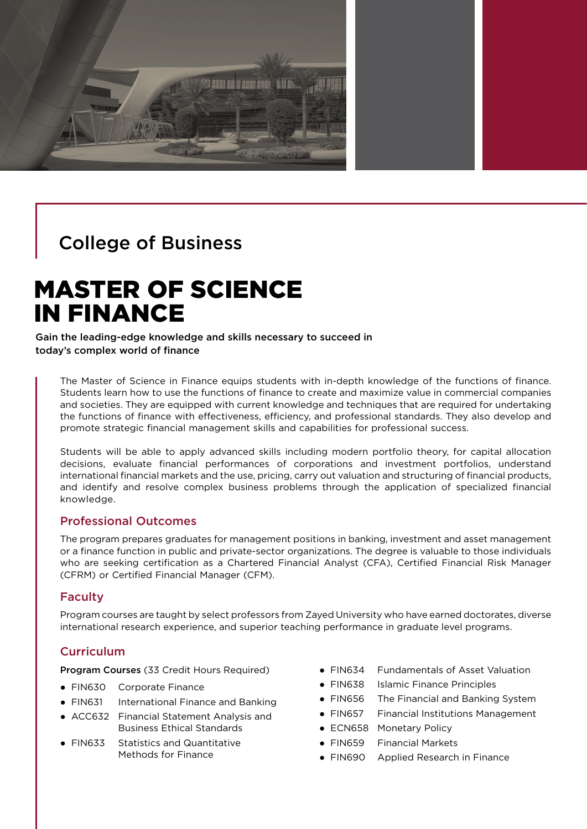

# College of Business

# MASTER OF SCIENCE IN FINANCE

Gain the leading-edge knowledge and skills necessary to succeed in today's complex world of finance

The Master of Science in Finance equips students with in-depth knowledge of the functions of finance. Students learn how to use the functions of finance to create and maximize value in commercial companies and societies. They are equipped with current knowledge and techniques that are required for undertaking the functions of finance with effectiveness, efficiency, and professional standards. They also develop and promote strategic financial management skills and capabilities for professional success.

Students will be able to apply advanced skills including modern portfolio theory, for capital allocation decisions, evaluate financial performances of corporations and investment portfolios, understand international financial markets and the use, pricing, carry out valuation and structuring of financial products, and identify and resolve complex business problems through the application of specialized financial knowledge.

#### Professional Outcomes

The program prepares graduates for management positions in banking, investment and asset management or a finance function in public and private-sector organizations. The degree is valuable to those individuals who are seeking certification as a Chartered Financial Analyst (CFA), Certified Financial Risk Manager (CFRM) or Certified Financial Manager (CFM).

#### Faculty

Program courses are taught by select professors from Zayed University who have earned doctorates, diverse international research experience, and superior teaching performance in graduate level programs.

# **Curriculum**

Program Courses (33 Credit Hours Required)

- FIN630 Corporate Finance
- FIN631 International Finance and Banking
- ACC632 Financial Statement Analysis and Business Ethical Standards
- FIN633 Statistics and Quantitative Methods for Finance
- FIN634 Fundamentals of Asset Valuation
- FIN638 Islamic Finance Principles
- FIN656 The Financial and Banking System
- FIN657 Financial Institutions Management
- ECN658 Monetary Policy
- FIN659 Financial Markets
- FIN690 Applied Research in Finance